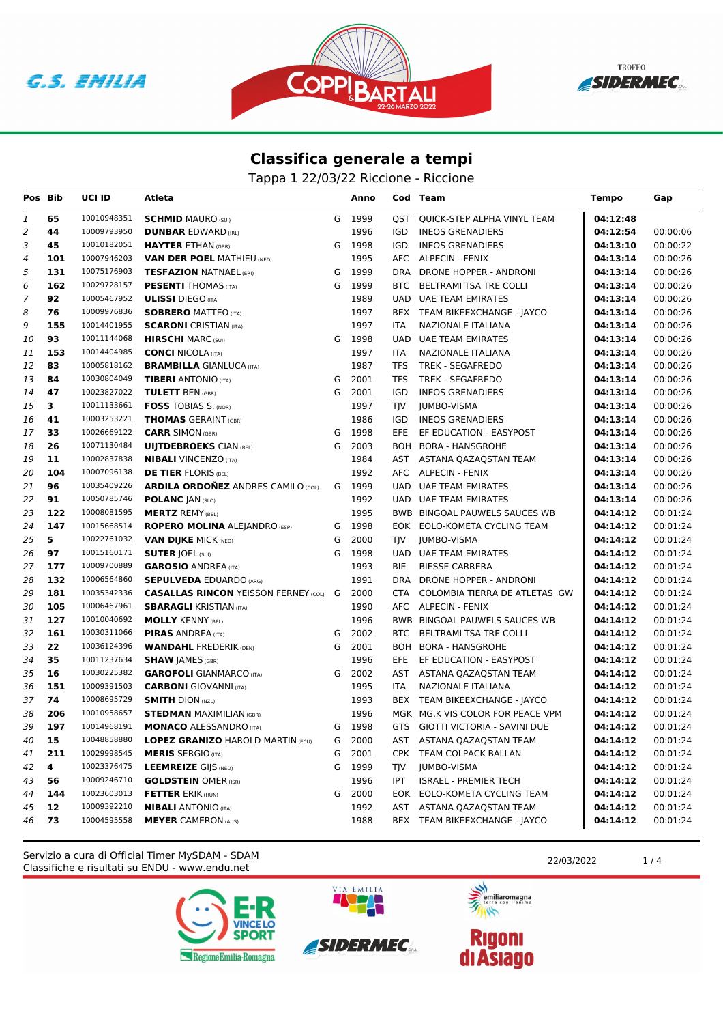





Tappa 1 22/03/22 Riccione - Riccione

| Pos Bib        |                | UCI ID      | Atleta                                             |   | Anno   |            | Cod Team                         | <b>Tempo</b> | Gap      |
|----------------|----------------|-------------|----------------------------------------------------|---|--------|------------|----------------------------------|--------------|----------|
| 1              | 65             | 10010948351 | <b>SCHMID MAURO (SUI)</b>                          | G | 1999   |            | QST QUICK-STEP ALPHA VINYL TEAM  | 04:12:48     |          |
| $\overline{2}$ | 44             | 10009793950 | <b>DUNBAR EDWARD (IRL)</b>                         |   | 1996   | IGD        | <b>INEOS GRENADIERS</b>          | 04:12:54     | 00:00:06 |
| 3              | 45             | 10010182051 | <b>HAYTER ETHAN (GBR)</b>                          | G | 1998   | <b>IGD</b> | <b>INEOS GRENADIERS</b>          | 04:13:10     | 00:00:22 |
| 4              | 101            | 10007946203 | <b>VAN DER POEL MATHIEU (NED)</b>                  |   | 1995   |            | AFC ALPECIN - FENIX              | 04:13:14     | 00:00:26 |
| 5              | 131            | 10075176903 | <b>TESFAZION NATNAEL (ERI)</b>                     | G | 1999   | DRA        | DRONE HOPPER - ANDRONI           | 04:13:14     | 00:00:26 |
| 6              | 162            | 10029728157 | <b>PESENTI THOMAS (ITA)</b>                        | G | 1999   | BTC        | BELTRAMI TSA TRE COLLI           | 04:13:14     | 00:00:26 |
| $\overline{7}$ | 92             | 10005467952 | <b>ULISSI</b> DIEGO (ITA)                          |   | 1989   |            | UAD UAE TEAM EMIRATES            | 04:13:14     | 00:00:26 |
| 8              | 76             | 10009976836 | <b>SOBRERO MATTEO (ITA)</b>                        |   | 1997   |            | BEX TEAM BIKEEXCHANGE - JAYCO    | 04:13:14     | 00:00:26 |
| 9              | 155            | 10014401955 | <b>SCARONI</b> CRISTIAN (ITA)                      |   | 1997   | <b>ITA</b> | NAZIONALE ITALIANA               | 04:13:14     | 00:00:26 |
| 10             | 93             | 10011144068 | <b>HIRSCHI</b> MARC (SUI)                          |   | G 1998 | UAD        | <b>UAE TEAM EMIRATES</b>         | 04:13:14     | 00:00:26 |
| 11             | 153            | 10014404985 | <b>CONCI NICOLA (ITA)</b>                          |   | 1997   | ITA        | NAZIONALE ITALIANA               | 04:13:14     | 00:00:26 |
| 12             | 83             | 10005818162 | <b>BRAMBILLA GIANLUCA (ITA)</b>                    |   | 1987   | <b>TFS</b> | TREK - SEGAFREDO                 | 04:13:14     | 00:00:26 |
| 13             | 84             | 10030804049 | <b>TIBERI</b> ANTONIO (ITA)                        | G | 2001   | TFS        | TREK - SEGAFREDO                 | 04:13:14     | 00:00:26 |
| 14             | 47             | 10023827022 | <b>TULETT BEN (GBR)</b>                            | G | 2001   | IGD        | <b>INEOS GRENADIERS</b>          | 04:13:14     | 00:00:26 |
| 15             | 3              | 10011133661 | <b>FOSS TOBIAS S. (NOR)</b>                        |   | 1997   | <b>TJV</b> | <b>JUMBO-VISMA</b>               | 04:13:14     | 00:00:26 |
| 16             | 41             | 10003253221 | <b>THOMAS</b> GERAINT (GBR)                        |   | 1986   | IGD        | <b>INEOS GRENADIERS</b>          | 04:13:14     | 00:00:26 |
| 17             | 33             | 10026669122 | <b>CARR SIMON (GBR)</b>                            |   | G 1998 | EFE        | EF EDUCATION - EASYPOST          | 04:13:14     | 00:00:26 |
| 18             | 26             | 10071130484 | <b>UIJTDEBROEKS CIAN (BEL)</b>                     | G | 2003   |            | BOH BORA - HANSGROHE             | 04:13:14     | 00:00:26 |
| 19             | 11             | 10002837838 | <b>NIBALI</b> VINCENZO (ITA)                       |   | 1984   |            | AST ASTANA QAZAQSTAN TEAM        | 04:13:14     | 00:00:26 |
| 20             | 104            | 10007096138 | <b>DE TIER FLORIS (BEL)</b>                        |   | 1992   |            | AFC ALPECIN - FENIX              | 04:13:14     | 00:00:26 |
| 21             | 96             | 10035409226 | <b>ARDILA ORDOÑEZ ANDRES CAMILO (COL)</b>          |   | G 1999 | <b>UAD</b> | <b>UAE TEAM EMIRATES</b>         | 04:13:14     | 00:00:26 |
| 22             | 91             | 10050785746 | <b>POLANC JAN (SLO)</b>                            |   | 1992   |            | UAD UAE TEAM EMIRATES            | 04:13:14     | 00:00:26 |
| 23             | 122            | 10008081595 | <b>MERTZ REMY (BEL)</b>                            |   | 1995   |            | BWB BINGOAL PAUWELS SAUCES WB    | 04:14:12     | 00:01:24 |
| 24             | 147            | 10015668514 | <b>ROPERO MOLINA ALEJANDRO (ESP)</b>               | G | 1998   |            | EOK EOLO-KOMETA CYCLING TEAM     | 04:14:12     | 00:01:24 |
| 25             | 5 <sup>1</sup> | 10022761032 | <b>VAN DIJKE MICK (NED)</b>                        | G | 2000   | TJV        | JUMBO-VISMA                      | 04:14:12     | 00:01:24 |
| 26             | 97             | 10015160171 | <b>SUTER JOEL (SUI)</b>                            | G | 1998   |            | UAD UAE TEAM EMIRATES            | 04:14:12     | 00:01:24 |
| 27             | 177            | 10009700889 | <b>GAROSIO ANDREA (ITA)</b>                        |   | 1993   | <b>BIE</b> | <b>BIESSE CARRERA</b>            | 04:14:12     | 00:01:24 |
| 28             | 132            | 10006564860 | <b>SEPULVEDA EDUARDO (ARG)</b>                     |   | 1991   | DRA        | DRONE HOPPER - ANDRONI           | 04:14:12     | 00:01:24 |
| 29             | 181            | 10035342336 | <b>CASALLAS RINCON</b> YEISSON FERNEY (COL) G 2000 |   |        | CTA        | COLOMBIA TIERRA DE ATLETAS GW    | 04:14:12     | 00:01:24 |
| 30             | 105            | 10006467961 | <b>SBARAGLI KRISTIAN (ITA)</b>                     |   | 1990   |            | AFC ALPECIN - FENIX              | 04:14:12     | 00:01:24 |
| 31             | 127            | 10010040692 | <b>MOLLY KENNY (BEL)</b>                           |   | 1996   |            | BWB BINGOAL PAUWELS SAUCES WB    | 04:14:12     | 00:01:24 |
| 32             | 161            | 10030311066 | <b>PIRAS ANDREA (ITA)</b>                          | G | 2002   | BTC        | <b>BELTRAMI TSA TRE COLLI</b>    | 04:14:12     | 00:01:24 |
| 33             | 22             | 10036124396 | <b>WANDAHL FREDERIK (DEN)</b>                      | G | 2001   |            | BOH BORA - HANSGROHE             | 04:14:12     | 00:01:24 |
| 34             | 35             | 10011237634 | <b>SHAW JAMES (GBR)</b>                            |   | 1996   | EFE        | EF EDUCATION - EASYPOST          | 04:14:12     | 00:01:24 |
| 35             | 16             | 10030225382 | <b>GAROFOLI</b> GIANMARCO (ITA)                    |   | G 2002 |            | AST ASTANA QAZAQSTAN TEAM        | 04:14:12     | 00:01:24 |
| 36             | 151            | 10009391503 | <b>CARBONI</b> GIOVANNI (ITA)                      |   | 1995   | <b>ITA</b> | <b>NAZIONALE ITALIANA</b>        | 04:14:12     | 00:01:24 |
| 37             | 74             | 10008695729 | <b>SMITH DION (NZL)</b>                            |   | 1993   |            | BEX TEAM BIKEEXCHANGE - JAYCO    | 04:14:12     | 00:01:24 |
| 38             | 206            | 10010958657 | <b>STEDMAN MAXIMILIAN (GBR)</b>                    |   | 1996   |            | MGK MG.K VIS COLOR FOR PEACE VPM | 04:14:12     | 00:01:24 |
| 39             | 197            | 10014968191 | <b>MONACO ALESSANDRO (ITA)</b>                     |   | G 1998 |            | GTS GIOTTI VICTORIA - SAVINI DUE | 04:14:12     | 00:01:24 |
| 40             | 15             |             | 10048858880 LOPEZ GRANIZO HAROLD MARTIN (ECU)      |   | G 2000 |            | AST ASTANA QAZAQSTAN TEAM        | 04:14:12     | 00:01:24 |
| 41             | 211            | 10029998545 | <b>MERIS SERGIO (ITA)</b>                          | G | 2001   |            | CPK TEAM COLPACK BALLAN          | 04:14:12     | 00:01:24 |
| 42             | 4              | 10023376475 | <b>LEEMREIZE GIJS (NED)</b>                        | G | 1999   | TJV        | <b>JUMBO-VISMA</b>               | 04:14:12     | 00:01:24 |
| 43             | 56             | 10009246710 | <b>GOLDSTEIN OMER (ISR)</b>                        |   | 1996   | IPT        | <b>ISRAEL - PREMIER TECH</b>     | 04:14:12     | 00:01:24 |
| 44             | 144            | 10023603013 | <b>FETTER ERIK (HUN)</b>                           |   | G 2000 |            | EOK EOLO-KOMETA CYCLING TEAM     | 04:14:12     | 00:01:24 |
| 45             | 12             | 10009392210 | <b>NIBALI</b> ANTONIO (ITA)                        |   | 1992   | AST        | ASTANA QAZAQSTAN TEAM            | 04:14:12     | 00:01:24 |
| 46             | 73             | 10004595558 | <b>MEYER CAMERON (AUS)</b>                         |   | 1988   |            | BEX TEAM BIKEEXCHANGE - JAYCO    | 04:14:12     | 00:01:24 |

Classifiche e risultati su ENDU - www.endu.net Servizio a cura di Official Timer MySDAM - SDAM 22/03/2022 1/4





VIA EMILIA



**ANTISTICATION** 

 $\rightarrow$ 

**Rigoni<br>di Asiago**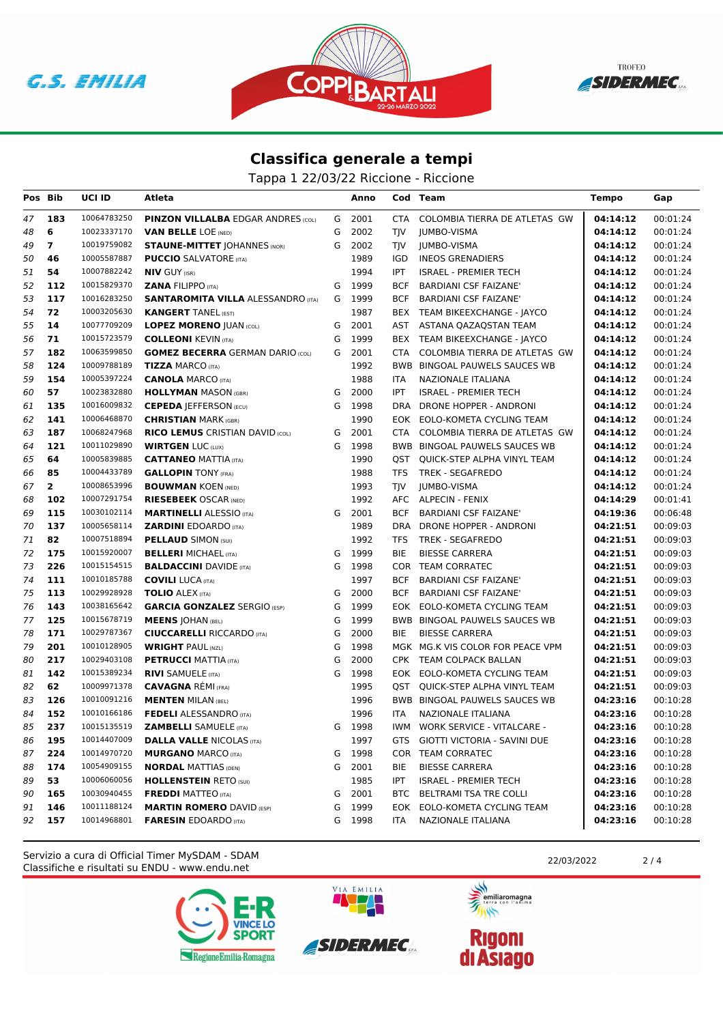





Tappa 1 22/03/22 Riccione - Riccione

| Pos Bib  |                | UCI ID                     | Atleta                                                          |   | Anno           |            | Cod Team                                              | <b>Tempo</b>         | Gap                  |
|----------|----------------|----------------------------|-----------------------------------------------------------------|---|----------------|------------|-------------------------------------------------------|----------------------|----------------------|
| 47       | 183            | 10064783250                | <b>PINZON VILLALBA EDGAR ANDRES (COL)</b>                       |   | G 2001         | CTA        | COLOMBIA TIERRA DE ATLETAS GW                         | 04:14:12             | 00:01:24             |
| 48       | 6              | 10023337170                | <b>VAN BELLE LOE (NED)</b>                                      | G | 2002           | TIV        | <b>IUMBO-VISMA</b>                                    | 04:14:12             | 00:01:24             |
| 49       | $\overline{7}$ | 10019759082                | <b>STAUNE-MITTET JOHANNES (NOR)</b>                             | G | 2002           | TJV        | JUMBO-VISMA                                           | 04:14:12             | 00:01:24             |
| 50       | 46             | 10005587887                | <b>PUCCIO SALVATORE (ITA)</b>                                   |   | 1989           | IGD        | <b>INEOS GRENADIERS</b>                               | 04:14:12             | 00:01:24             |
| 51       | 54             | 10007882242                | <b>NIV GUY (ISR)</b>                                            |   | 1994           | <b>IPT</b> | <b>ISRAEL - PREMIER TECH</b>                          | 04:14:12             | 00:01:24             |
| 52       | 112            | 10015829370                | <b>ZANA FILIPPO (ITA)</b>                                       | G | 1999           | <b>BCF</b> | <b>BARDIANI CSF FAIZANE'</b>                          | 04:14:12             | 00:01:24             |
| 53       | 117            | 10016283250                | <b>SANTAROMITA VILLA ALESSANDRO (ITA)</b>                       |   | G 1999         | <b>BCF</b> | <b>BARDIANI CSF FAIZANE'</b>                          | 04:14:12             | 00:01:24             |
| 54       | 72             | 10003205630                | <b>KANGERT TANEL (EST)</b>                                      |   | 1987           |            | BEX TEAM BIKEEXCHANGE - JAYCO                         | 04:14:12             | 00:01:24             |
| 55       | 14             | 10077709209                | <b>LOPEZ MORENO JUAN (COL)</b>                                  | G | 2001           |            | AST ASTANA QAZAQSTAN TEAM                             | 04:14:12             | 00:01:24             |
| 56       | 71             | 10015723579                | <b>COLLEONI KEVIN (ITA)</b>                                     | G | 1999           |            | BEX TEAM BIKEEXCHANGE - JAYCO                         | 04:14:12             | 00:01:24             |
| 57       | 182            | 10063599850                | <b>GOMEZ BECERRA</b> GERMAN DARIO (COL)                         | G | 2001           | CTA        | COLOMBIA TIERRA DE ATLETAS GW                         | 04:14:12             | 00:01:24             |
| 58       | 124            | 10009788189                | <b>TIZZA MARCO (ITA)</b>                                        |   | 1992           |            | <b>BWB BINGOAL PAUWELS SAUCES WB</b>                  | 04:14:12             | 00:01:24             |
| 59       | 154            | 10005397224                | <b>CANOLA MARCO (ITA)</b>                                       |   | 1988           | ITA        | NAZIONALE ITALIANA                                    | 04:14:12             | 00:01:24             |
| 60       | 57             | 10023832880                | <b>HOLLYMAN MASON (GBR)</b>                                     | G | 2000           | IPT        | <b>ISRAEL - PREMIER TECH</b>                          | 04:14:12             | 00:01:24             |
| 61       | 135            | 10016009832                | <b>CEPEDA JEFFERSON (ECU)</b>                                   | G | 1998           | DRA        | DRONE HOPPER - ANDRONI                                | 04:14:12             | 00:01:24             |
| 62       | 141            | 10006468870                | <b>CHRISTIAN MARK (GBR)</b>                                     |   | 1990           | EOK        | EOLO-KOMETA CYCLING TEAM                              | 04:14:12             | 00:01:24             |
| 63       | 187            | 10068247968                | <b>RICO LEMUS CRISTIAN DAVID (COL)</b>                          | G | 2001           | CTA        | COLOMBIA TIERRA DE ATLETAS GW                         | 04:14:12             | 00:01:24             |
| 64       | 121            | 10011029890                | <b>WIRTGEN LUC (LUX)</b>                                        | G | 1998           |            | <b>BWB BINGOAL PAUWELS SAUCES WB</b>                  | 04:14:12             | 00:01:24             |
| 65       | 64             | 10005839885                | <b>CATTANEO MATTIA (ITA)</b>                                    |   | 1990           | QST        | QUICK-STEP ALPHA VINYL TEAM                           | 04:14:12             | 00:01:24             |
| 66       | 85             | 10004433789                | <b>GALLOPIN TONY (FRA)</b>                                      |   | 1988           | <b>TFS</b> | <b>TREK - SEGAFREDO</b>                               | 04:14:12             | 00:01:24             |
| 67       | $\overline{2}$ | 10008653996                | <b>BOUWMAN KOEN (NED)</b>                                       |   | 1993           | TJV        | JUMBO-VISMA                                           | 04:14:12             | 00:01:24             |
| 68       | 102            | 10007291754                | <b>RIESEBEEK OSCAR (NED)</b>                                    |   | 1992           |            | AFC ALPECIN - FENIX                                   | 04:14:29             | 00:01:41             |
| 69       | 115            | 10030102114                | <b>MARTINELLI ALESSIO (ITA)</b>                                 |   | G 2001         | <b>BCF</b> | <b>BARDIANI CSF FAIZANE'</b>                          | 04:19:36             | 00:06:48             |
| 70       | 137            | 10005658114                | <b>ZARDINI EDOARDO</b> (ITA)                                    |   | 1989           | DRA        | DRONE HOPPER - ANDRONI                                | 04:21:51             | 00:09:03             |
| 71       | 82             | 10007518894                | <b>PELLAUD SIMON (SUI)</b>                                      |   | 1992           | TFS        | <b>TREK - SEGAFREDO</b>                               | 04:21:51             | 00:09:03             |
| 72       | 175            | 10015920007                | <b>BELLERI MICHAEL (ITA)</b>                                    | G | 1999           | <b>BIE</b> | <b>BIESSE CARRERA</b>                                 | 04:21:51             | 00:09:03             |
| 73       | 226            | 10015154515                | <b>BALDACCINI DAVIDE (ITA)</b>                                  | G | 1998           |            | COR TEAM CORRATEC                                     | 04:21:51             | 00:09:03             |
| 74       | 111            | 10010185788                | <b>COVILI LUCA (ITA)</b>                                        |   | 1997           | <b>BCF</b> | <b>BARDIANI CSF FAIZANE'</b>                          | 04:21:51             | 00:09:03             |
| 75       | 113            | 10029928928                | <b>TOLIO ALEX (ITA)</b>                                         | G | 2000           | <b>BCF</b> | <b>BARDIANI CSF FAIZANE'</b>                          | 04:21:51             | 00:09:03             |
| 76       | 143            | 10038165642                | <b>GARCIA GONZALEZ SERGIO (ESP)</b>                             | G | 1999           |            | EOK EOLO-KOMETA CYCLING TEAM                          | 04:21:51             | 00:09:03             |
| 77       | 125            | 10015678719                | <b>MEENS JOHAN (BEL)</b>                                        | G | 1999           |            | BWB BINGOAL PAUWELS SAUCES WB                         | 04:21:51             | 00:09:03             |
| 78       | 171            | 10029787367                | <b>CIUCCARELLI RICCARDO (ITA)</b>                               | G | 2000           | BIE        | <b>BIESSE CARRERA</b>                                 | 04:21:51             | 00:09:03             |
| 79       | 201            | 10010128905                | <b>WRIGHT PAUL (NZL)</b>                                        | G | 1998           |            | MGK MG.K VIS COLOR FOR PEACE VPM                      | 04:21:51             | 00:09:03             |
| 80       | 217            | 10029403108                | <b>PETRUCCI MATTIA (ITA)</b>                                    | G | 2000           |            | CPK TEAM COLPACK BALLAN                               | 04:21:51             | 00:09:03             |
| 81       | 142            | 10015389234<br>10009971378 | <b>RIVI SAMUELE (ITA)</b>                                       | G | 1998           |            | EOK EOLO-KOMETA CYCLING TEAM                          | 04:21:51             | 00:09:03             |
| 82       | 62<br>126      | 10010091216                | <b>CAVAGNA RÉMI (FRA)</b>                                       |   | 1995<br>1996   | QST        | <b>OUICK-STEP ALPHA VINYL TEAM</b>                    | 04:21:51             | 00:09:03             |
| 83<br>84 | 152            | 10010166186                | <b>MENTEN MILAN (BEL)</b>                                       |   | 1996           | <b>ITA</b> | BWB BINGOAL PAUWELS SAUCES WB<br>NAZIONALE ITALIANA   | 04:23:16<br>04:23:16 | 00:10:28             |
| 85       | 237            | 10015135519                | <b>FEDELI ALESSANDRO</b> (ITA)<br><b>ZAMBELLI SAMUELE (ITA)</b> | G | 1998           |            | IWM WORK SERVICE - VITALCARE -                        | 04:23:16             | 00:10:28<br>00:10:28 |
|          |                |                            | 10014407009 DALLA VALLE NICOLAS (ITA)                           |   |                |            |                                                       |                      |                      |
| 86<br>87 | 195<br>224     | 10014970720                | <b>MURGANO MARCO (ITA)</b>                                      |   | 1997<br>G 1998 |            | GTS GIOTTI VICTORIA - SAVINI DUE<br>COR TEAM CORRATEC | 04:23:16<br>04:23:16 | 00:10:28<br>00:10:28 |
| 88       | 174            | 10054909155                | <b>NORDAL MATTIAS (DEN)</b>                                     |   | G 2001         | BIE        | <b>BIESSE CARRERA</b>                                 | 04:23:16             | 00:10:28             |
| 89       | 53             | 10006060056                | <b>HOLLENSTEIN RETO (SUI)</b>                                   |   | 1985           | IPT        | <b>ISRAEL - PREMIER TECH</b>                          | 04:23:16             | 00:10:28             |
| 90       | 165            | 10030940455                | <b>FREDDI MATTEO</b> (ITA)                                      |   | G 2001         |            | BTC BELTRAMI TSA TRE COLLI                            | 04:23:16             | 00:10:28             |
| 91       | 146            | 10011188124                | <b>MARTIN ROMERO DAVID (ESP)</b>                                | G | 1999           |            | EOK EOLO-KOMETA CYCLING TEAM                          | 04:23:16             | 00:10:28             |
| 92       | 157            | 10014968801                | <b>FARESIN EDOARDO (ITA)</b>                                    |   | G 1998         | ITA        | NAZIONALE ITALIANA                                    | 04:23:16             | 00:10:28             |
|          |                |                            |                                                                 |   |                |            |                                                       |                      |                      |

Classifiche e risultati su ENDU - www.endu.net Servizio a cura di Official Timer MySDAM - SDAM 22/03/2022 2 2/4





VIA EMILIA

**ANTISTICATION** emiliaromagna

 $\rightarrow$ 

**Rigoni<br>di Asiago**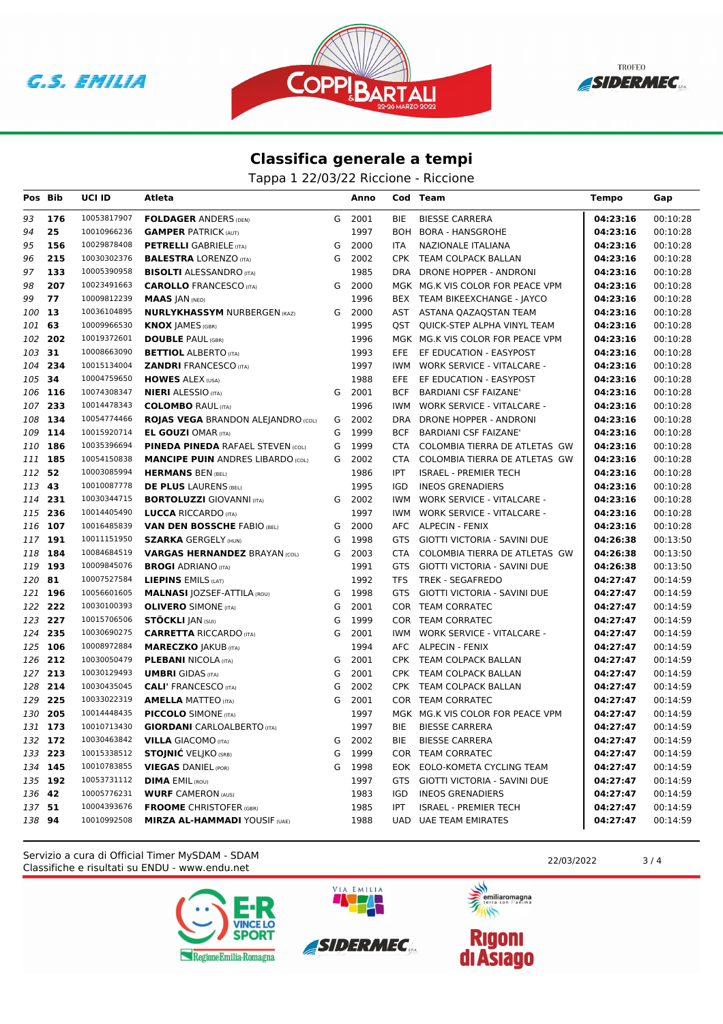





Tappa 1 22/03/22 Riccione - Riccione

| Pos Bib            |     | <b>UCI ID</b>              | Atleta                                                     |        | Anno         |            | Cod Team                                           | <b>Tempo</b>         | Gap                  |
|--------------------|-----|----------------------------|------------------------------------------------------------|--------|--------------|------------|----------------------------------------------------|----------------------|----------------------|
| 93                 | 176 | 10053817907                | <b>FOLDAGER ANDERS (DEN)</b>                               | G      | 2001         | <b>BIE</b> | <b>BIESSE CARRERA</b>                              | 04:23:16             | 00:10:28             |
| 94                 | 25  | 10010966236                | <b>GAMPER PATRICK (AUT)</b>                                |        | 1997         |            | BOH BORA - HANSGROHE                               | 04:23:16             | 00:10:28             |
| 95                 | 156 | 10029878408                | <b>PETRELLI</b> GABRIELE (ITA)                             | G      | 2000         | <b>ITA</b> | <b>NAZIONALE ITALIANA</b>                          | 04:23:16             | 00:10:28             |
| 96                 | 215 | 10030302376                | <b>BALESTRA LORENZO (ITA)</b>                              | G      | 2002         | <b>CPK</b> | TEAM COLPACK BALLAN                                | 04:23:16             | 00:10:28             |
| 97                 | 133 | 10005390958                | <b>BISOLTI ALESSANDRO (ITA)</b>                            |        | 1985         | <b>DRA</b> | DRONE HOPPER - ANDRONI                             | 04:23:16             | 00:10:28             |
| 98                 | 207 | 10023491663                | <b>CAROLLO</b> FRANCESCO (ITA)                             | G      | 2000         |            | MGK MG.K VIS COLOR FOR PEACE VPM                   | 04:23:16             | 00:10:28             |
| 99                 | 77  | 10009812239                | <b>MAAS JAN (NED)</b>                                      |        | 1996         |            | BEX TEAM BIKEEXCHANGE - JAYCO                      | 04:23:16             | 00:10:28             |
| 100                | 13  | 10036104895                | <b>NURLYKHASSYM NURBERGEN (KAZ)</b>                        | G      | 2000         |            | AST ASTANA QAZAQSTAN TEAM                          | 04:23:16             | 00:10:28             |
| 101                | 63  | 10009966530                | <b>KNOX JAMES (GBR)</b>                                    |        | 1995         |            | <b>QST QUICK-STEP ALPHA VINYL TEAM</b>             | 04:23:16             | 00:10:28             |
| 102                | 202 | 10019372601                | <b>DOUBLE PAUL (GBR)</b>                                   |        | 1996         |            | MGK MG.K VIS COLOR FOR PEACE VPM                   | 04:23:16             | 00:10:28             |
| 103 31             |     | 10008663090                | <b>BETTIOL ALBERTO (ITA)</b>                               |        | 1993         | EFE        | EF EDUCATION - EASYPOST                            | 04:23:16             | 00:10:28             |
| 104                | 234 | 10015134004                | <b>ZANDRI FRANCESCO (ITA)</b>                              |        | 1997         | IWM        | <b>WORK SERVICE - VITALCARE -</b>                  | 04:23:16             | 00:10:28             |
| 105 34             |     | 10004759650                | <b>HOWES ALEX (USA)</b>                                    |        | 1988         | <b>EFE</b> | EF EDUCATION - EASYPOST                            | 04:23:16             | 00:10:28             |
| 106 116            |     | 10074308347                | <b>NIERI</b> ALESSIO (ITA)                                 | G      | 2001         | <b>BCF</b> | <b>BARDIANI CSF FAIZANE</b>                        | 04:23:16             | 00:10:28             |
| 107                | 233 | 10014478343                | <b>COLOMBO RAUL (ITA)</b>                                  |        | 1996         | <b>IWM</b> | <b>WORK SERVICE - VITALCARE -</b>                  | 04:23:16             | 00:10:28             |
| 108                | 134 | 10054774466                | <b>ROJAS VEGA BRANDON ALEJANDRO (COL)</b>                  | G      | 2002         | DRA        | DRONE HOPPER - ANDRONI                             | 04:23:16             | 00:10:28             |
| 109                | 114 | 10015920714                | <b>EL GOUZI OMAR (ITA)</b>                                 | G      | 1999         | <b>BCF</b> | <b>BARDIANI CSF FAIZANE'</b>                       | 04:23:16             | 00:10:28             |
| 110                | 186 | 10035396694                | <b>PINEDA PINEDA RAFAEL STEVEN (COL)</b>                   | G      | 1999         | CTA        | COLOMBIA TIERRA DE ATLETAS GW                      | 04:23:16             | 00:10:28             |
| 111                | 185 | 10054150838                | <b>MANCIPE PUIN ANDRES LIBARDO (COL)</b>                   | G      | 2002         | CTA        | COLOMBIA TIERRA DE ATLETAS GW                      | 04:23:16             | 00:10:28             |
| 112 52             |     | 10003085994                | <b>HERMANS BEN (BEL)</b>                                   |        | 1986         | <b>IPT</b> | <b>ISRAEL - PREMIER TECH</b>                       | 04:23:16             | 00:10:28             |
| 113                | 43  | 10010087778                | <b>DE PLUS LAURENS (BEL)</b>                               |        | 1995         | IGD        | <b>INEOS GRENADIERS</b>                            | 04:23:16             | 00:10:28             |
| 114                | 231 | 10030344715                | <b>BORTOLUZZI GIOVANNI (ITA)</b>                           | G      | 2002         | IWM.       | <b>WORK SERVICE - VITALCARE -</b>                  | 04:23:16             | 00:10:28             |
| 115 236            |     | 10014405490                | <b>LUCCA RICCARDO (ITA)</b>                                |        | 1997         | IWM        | <b>WORK SERVICE - VITALCARE -</b>                  | 04:23:16             | 00:10:28             |
| 116 107            |     | 10016485839                | <b>VAN DEN BOSSCHE FABIO (BEL)</b>                         | G      | 2000         |            | AFC ALPECIN - FENIX                                | 04:23:16             | 00:10:28             |
| 117                | 191 | 10011151950                | <b>SZARKA GERGELY (HUN)</b>                                | G      | 1998         | <b>GTS</b> | <b>GIOTTI VICTORIA - SAVINI DUE</b>                | 04:26:38             | 00:13:50             |
| 118                | 184 | 10084684519                | <b>VARGAS HERNANDEZ BRAYAN (COL)</b>                       | G      | 2003         | CTA        | COLOMBIA TIERRA DE ATLETAS GW                      | 04:26:38             | 00:13:50             |
| 119                | 193 | 10009845076                | <b>BROGI ADRIANO (ITA)</b>                                 |        | 1991         | GTS        | GIOTTI VICTORIA - SAVINI DUE                       | 04:26:38             | 00:13:50             |
| 120                | 81  | 10007527584                | <b>LIEPINS EMILS (LAT)</b>                                 |        | 1992         | TFS        | <b>TREK - SEGAFREDO</b>                            | 04:27:47             | 00:14:59             |
| 121                | 196 | 10056601605                | <b>MALNASI JOZSEF-ATTILA (ROU)</b>                         | G      | 1998         | <b>GTS</b> | GIOTTI VICTORIA - SAVINI DUE                       | 04:27:47             | 00:14:59             |
| 122 222            |     | 10030100393                | <b>OLIVERO</b> SIMONE (ITA)                                | G      | 2001         |            | COR TEAM CORRATEC                                  | 04:27:47             | 00:14:59             |
| 123 227            |     | 10015706506                | <b>STÖCKLI JAN (SUI)</b>                                   | G      | 1999         |            | COR TEAM CORRATEC                                  | 04:27:47             | 00:14:59             |
| 124                | 235 | 10030690275                | <b>CARRETTA RICCARDO (ITA)</b>                             | G      | 2001         | IWM        | <b>WORK SERVICE - VITALCARE -</b>                  | 04:27:47             | 00:14:59             |
| 125 106<br>126 212 |     | 10008972884<br>10030050479 | <b>MARECZKO JAKUB (ITA)</b>                                |        | 1994<br>2001 |            | AFC ALPECIN - FENIX                                | 04:27:47             | 00:14:59             |
| 127 213            |     | 10030129493                | <b>PLEBANI NICOLA (ITA)</b><br><b>UMBRI</b> GIDAS (ITA)    | G<br>G | 2001         |            | CPK TEAM COLPACK BALLAN<br>CPK TEAM COLPACK BALLAN | 04:27:47<br>04:27:47 | 00:14:59<br>00:14:59 |
| 128                | 214 | 10030435045                |                                                            | G      | 2002         |            |                                                    | 04:27:47             | 00:14:59             |
| 129                | 225 | 10033022319                | <b>CALI' FRANCESCO (ITA)</b><br><b>AMELLA MATTEO (ITA)</b> | G      | 2001         |            | CPK TEAM COLPACK BALLAN<br>COR TEAM CORRATEC       | 04:27:47             | 00:14:59             |
| 130                | 205 | 10014448435                | <b>PICCOLO</b> SIMONE (ITA)                                |        | 1997         |            | MGK MG.K VIS COLOR FOR PEACE VPM                   | 04:27:47             | 00:14:59             |
| 131 173            |     | 10010713430                | <b>GIORDANI</b> CARLOALBERTO (ITA)                         |        | 1997         | <b>BIE</b> | <b>BIESSE CARRERA</b>                              | 04:27:47             | 00:14:59             |
| 132 172            |     | 10030463842                | <b>VILLA GIACOMO (ITA)</b>                                 | G      | 2002         | <b>BIE</b> | <b>BIESSE CARRERA</b>                              | 04:27:47             | 00:14:59             |
| 133 223            |     | 10015338512                | <b>STOJNIĆ</b> VELJKO (SRB)                                | G      | 1999         |            | COR TEAM CORRATEC                                  | 04:27:47             | 00:14:59             |
| 134 145            |     | 10010783855                | <b>VIEGAS DANIEL (POR)</b>                                 | G      | 1998         |            | EOK EOLO-KOMETA CYCLING TEAM                       | 04:27:47             | 00:14:59             |
| 135                | 192 | 10053731112                | <b>DIMA EMIL (ROU)</b>                                     |        | 1997         | GTS        | GIOTTI VICTORIA - SAVINI DUE                       | 04:27:47             | 00:14:59             |
| 136                | 42  | 10005776231                | <b>WURF CAMERON (AUS)</b>                                  |        | 1983         | IGD        | <b>INEOS GRENADIERS</b>                            | 04:27:47             | 00:14:59             |
| 137                | 51  | 10004393676                | <b>FROOME</b> CHRISTOFER (GBR)                             |        | 1985         | <b>IPT</b> | <b>ISRAEL - PREMIER TECH</b>                       | 04:27:47             | 00:14:59             |
| 138 94             |     | 10010992508                | <b>MIRZA AL-HAMMADI YOUSIF (UAE)</b>                       |        | 1988         | <b>UAD</b> | <b>UAE TEAM EMIRATES</b>                           | 04:27:47             | 00:14:59             |
|                    |     |                            |                                                            |        |              |            |                                                    |                      |                      |

Classifiche e risultati su ENDU - www.endu.net Servizio a cura di Official Timer MySDAM - SDAM 22/03/2022 2003/2022 3/4





VIA EMILIA

**ANTISTICATION** emiliaromagna

 $\rightarrow$ 

**Rigoni<br>di Asiago**